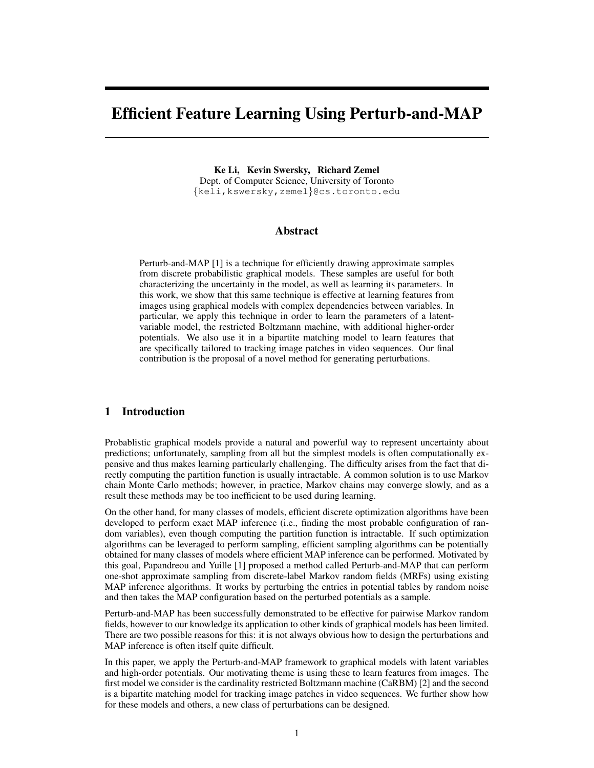# Efficient Feature Learning Using Perturb-and-MAP

Ke Li, Kevin Swersky, Richard Zemel Dept. of Computer Science, University of Toronto {keli,kswersky,zemel}@cs.toronto.edu

## Abstract

Perturb-and-MAP [1] is a technique for efficiently drawing approximate samples from discrete probabilistic graphical models. These samples are useful for both characterizing the uncertainty in the model, as well as learning its parameters. In this work, we show that this same technique is effective at learning features from images using graphical models with complex dependencies between variables. In particular, we apply this technique in order to learn the parameters of a latentvariable model, the restricted Boltzmann machine, with additional higher-order potentials. We also use it in a bipartite matching model to learn features that are specifically tailored to tracking image patches in video sequences. Our final contribution is the proposal of a novel method for generating perturbations.

## 1 Introduction

Probablistic graphical models provide a natural and powerful way to represent uncertainty about predictions; unfortunately, sampling from all but the simplest models is often computationally expensive and thus makes learning particularly challenging. The difficulty arises from the fact that directly computing the partition function is usually intractable. A common solution is to use Markov chain Monte Carlo methods; however, in practice, Markov chains may converge slowly, and as a result these methods may be too inefficient to be used during learning.

On the other hand, for many classes of models, efficient discrete optimization algorithms have been developed to perform exact MAP inference (i.e., finding the most probable configuration of random variables), even though computing the partition function is intractable. If such optimization algorithms can be leveraged to perform sampling, efficient sampling algorithms can be potentially obtained for many classes of models where efficient MAP inference can be performed. Motivated by this goal, Papandreou and Yuille [1] proposed a method called Perturb-and-MAP that can perform one-shot approximate sampling from discrete-label Markov random fields (MRFs) using existing MAP inference algorithms. It works by perturbing the entries in potential tables by random noise and then takes the MAP configuration based on the perturbed potentials as a sample.

Perturb-and-MAP has been successfully demonstrated to be effective for pairwise Markov random fields, however to our knowledge its application to other kinds of graphical models has been limited. There are two possible reasons for this: it is not always obvious how to design the perturbations and MAP inference is often itself quite difficult.

In this paper, we apply the Perturb-and-MAP framework to graphical models with latent variables and high-order potentials. Our motivating theme is using these to learn features from images. The first model we consider is the cardinality restricted Boltzmann machine (CaRBM) [2] and the second is a bipartite matching model for tracking image patches in video sequences. We further show how for these models and others, a new class of perturbations can be designed.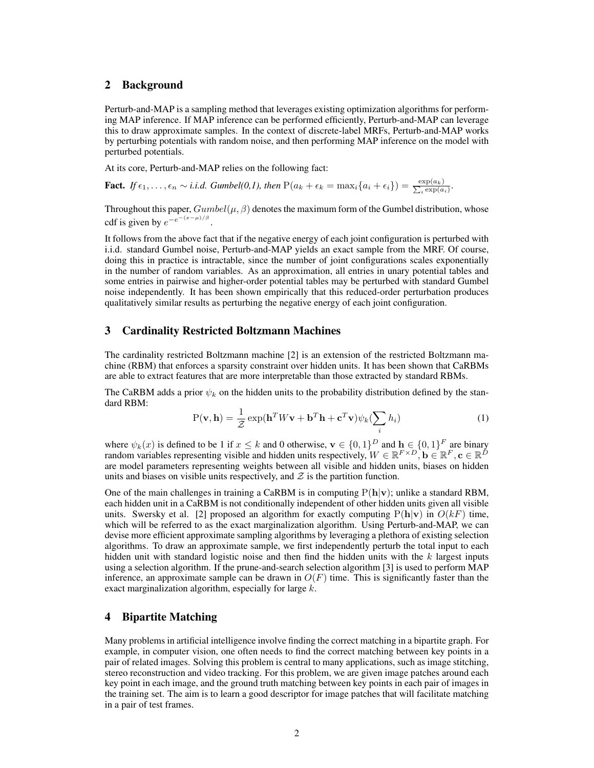# 2 Background

Perturb-and-MAP is a sampling method that leverages existing optimization algorithms for performing MAP inference. If MAP inference can be performed efficiently, Perturb-and-MAP can leverage this to draw approximate samples. In the context of discrete-label MRFs, Perturb-and-MAP works by perturbing potentials with random noise, and then performing MAP inference on the model with perturbed potentials.

At its core, Perturb-and-MAP relies on the following fact:

**Fact.** *If*  $\epsilon_1, \ldots, \epsilon_n \sim i.i.d.$  *Gumbel*(0,1), then  $P(a_k + \epsilon_k = \max_i \{a_i + \epsilon_i\}) = \frac{\exp(a_k)}{\sum_i \exp(a_k)}$  $\frac{\exp(a_k)}{\exp(a_i)}$ .

Throughout this paper,  $Gumbel(\mu, \beta)$  denotes the maximum form of the Gumbel distribution, whose cdf is given by  $e^{-e^{-(x-\mu)/\beta}}$ .

It follows from the above fact that if the negative energy of each joint configuration is perturbed with i.i.d. standard Gumbel noise, Perturb-and-MAP yields an exact sample from the MRF. Of course, doing this in practice is intractable, since the number of joint configurations scales exponentially in the number of random variables. As an approximation, all entries in unary potential tables and some entries in pairwise and higher-order potential tables may be perturbed with standard Gumbel noise independently. It has been shown empirically that this reduced-order perturbation produces qualitatively similar results as perturbing the negative energy of each joint configuration.

# 3 Cardinality Restricted Boltzmann Machines

The cardinality restricted Boltzmann machine [2] is an extension of the restricted Boltzmann machine (RBM) that enforces a sparsity constraint over hidden units. It has been shown that CaRBMs are able to extract features that are more interpretable than those extracted by standard RBMs.

The CaRBM adds a prior  $\psi_k$  on the hidden units to the probability distribution defined by the standard RBM:

$$
P(\mathbf{v}, \mathbf{h}) = \frac{1}{Z} \exp(\mathbf{h}^T W \mathbf{v} + \mathbf{b}^T \mathbf{h} + \mathbf{c}^T \mathbf{v}) \psi_k(\sum_i h_i)
$$
(1)

where  $\psi_k(x)$  is defined to be 1 if  $x \le k$  and 0 otherwise,  $\mathbf{v} \in \{0,1\}^D$  and  $\mathbf{h} \in \{0,1\}^F$  are binary random variables representing visible and hidden units respectively,  $W \in \mathbb{R}^{F \times D}$ ,  $\mathbf{b} \in \mathbb{R}^F$ ,  $\mathbf{c} \in \mathbb{R}^D$ are model parameters representing weights between all visible and hidden units, biases on hidden units and biases on visible units respectively, and  $\mathcal Z$  is the partition function.

One of the main challenges in training a CaRBM is in computing  $P(h|v)$ ; unlike a standard RBM, each hidden unit in a CaRBM is not conditionally independent of other hidden units given all visible units. Swersky et al. [2] proposed an algorithm for exactly computing  $P(h|\mathbf{v})$  in  $O(kF)$  time, which will be referred to as the exact marginalization algorithm. Using Perturb-and-MAP, we can devise more efficient approximate sampling algorithms by leveraging a plethora of existing selection algorithms. To draw an approximate sample, we first independently perturb the total input to each hidden unit with standard logistic noise and then find the hidden units with the  $k$  largest inputs using a selection algorithm. If the prune-and-search selection algorithm [3] is used to perform MAP inference, an approximate sample can be drawn in  $O(F)$  time. This is significantly faster than the exact marginalization algorithm, especially for large k.

# 4 Bipartite Matching

Many problems in artificial intelligence involve finding the correct matching in a bipartite graph. For example, in computer vision, one often needs to find the correct matching between key points in a pair of related images. Solving this problem is central to many applications, such as image stitching, stereo reconstruction and video tracking. For this problem, we are given image patches around each key point in each image, and the ground truth matching between key points in each pair of images in the training set. The aim is to learn a good descriptor for image patches that will facilitate matching in a pair of test frames.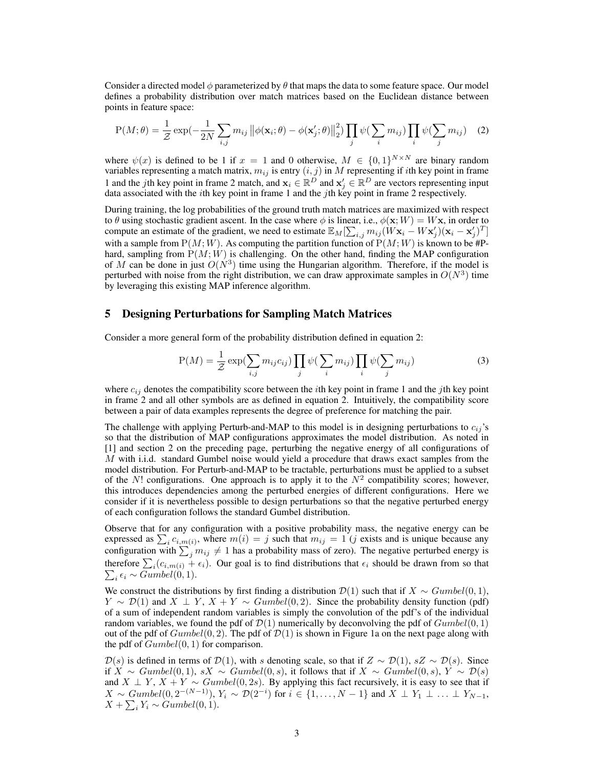Consider a directed model  $\phi$  parameterized by  $\theta$  that maps the data to some feature space. Our model defines a probability distribution over match matrices based on the Euclidean distance between points in feature space:

$$
P(M; \theta) = \frac{1}{Z} \exp\left(-\frac{1}{2N} \sum_{i,j} m_{ij} \left\|\phi(\mathbf{x}_i; \theta) - \phi(\mathbf{x}'_j; \theta)\right\|_2^2\right) \prod_j \psi\left(\sum_i m_{ij}\right) \prod_i \psi\left(\sum_j m_{ij}\right) \tag{2}
$$

where  $\psi(x)$  is defined to be 1 if  $x = 1$  and 0 otherwise,  $M \in \{0,1\}^{N \times N}$  are binary random variables representing a match matrix,  $m_{ij}$  is entry  $(i, j)$  in  $M$  representing if *i*th key point in frame 1 and the jth key point in frame 2 match, and  $\mathbf{x}_i \in \mathbb{R}^D$  and  $\mathbf{x}'_j \in \mathbb{R}^D$  are vectors representing input data associated with the *i*th key point in frame 1 and the *j*th key point in frame 2 respectively.

During training, the log probabilities of the ground truth match matrices are maximized with respect to  $\theta$  using stochastic gradient ascent. In the case where  $\phi$  is linear, i.e.,  $\phi(\mathbf{x}; W) = W\mathbf{x}$ , in order to compute an estimate of the gradient, we need to estimate  $\mathbb{E}_M[\sum_{i,j} m_{ij}(\hat{W} \mathbf{x}_i - W \mathbf{x}'_j)(\mathbf{x}_i - \mathbf{x}'_j)^T]$ with a sample from  $P(M; W)$ . As computing the partition function of  $P(M; W)$  is known to be #Phard, sampling from  $P(M; W)$  is challenging. On the other hand, finding the MAP configuration of M can be done in just  $O(N^3)$  time using the Hungarian algorithm. Therefore, if the model is perturbed with noise from the right distribution, we can draw approximate samples in  $O(N^3)$  time by leveraging this existing MAP inference algorithm.

#### 5 Designing Perturbations for Sampling Match Matrices

Consider a more general form of the probability distribution defined in equation 2:

$$
P(M) = \frac{1}{Z} \exp\left(\sum_{i,j} m_{ij} c_{ij}\right) \prod_j \psi\left(\sum_i m_{ij}\right) \prod_i \psi\left(\sum_j m_{ij}\right) \tag{3}
$$

where  $c_{ij}$  denotes the compatibility score between the *i*th key point in frame 1 and the *j*th key point in frame 2 and all other symbols are as defined in equation 2. Intuitively, the compatibility score between a pair of data examples represents the degree of preference for matching the pair.

The challenge with applying Perturb-and-MAP to this model is in designing perturbations to  $c_{ij}$ 's so that the distribution of MAP configurations approximates the model distribution. As noted in [1] and section 2 on the preceding page, perturbing the negative energy of all configurations of  $M$  with i.i.d. standard Gumbel noise would yield a procedure that draws exact samples from the model distribution. For Perturb-and-MAP to be tractable, perturbations must be applied to a subset of the  $N!$  configurations. One approach is to apply it to the  $N^2$  compatibility scores; however, this introduces dependencies among the perturbed energies of different configurations. Here we consider if it is nevertheless possible to design perturbations so that the negative perturbed energy of each configuration follows the standard Gumbel distribution.

Observe that for any configuration with a positive probability mass, the negative energy can be expressed as  $\sum_i c_{i,m(i)}$ , where  $m(i) = j$  such that  $m_{ij} = 1$  (j exists and is unique because any configuration with  $\sum_j m_{ij} \neq 1$  has a probability mass of zero). The negative perturbed energy is therefore  $\sum_i (c_{i,m(i)} + \epsilon_i)$ . Our goal is to find distributions that  $\epsilon_i$  should be drawn from so that  $\sum_i \epsilon_i \sim Gumbel(0, 1).$ 

We construct the distributions by first finding a distribution  $\mathcal{D}(1)$  such that if  $X \sim Gumbel(0, 1)$ ,  $Y \sim \mathcal{D}(1)$  and  $X \perp Y$ ,  $X + Y \sim$  Gumbel $(0, 2)$ . Since the probability density function (pdf) of a sum of independent random variables is simply the convolution of the pdf's of the individual random variables, we found the pdf of  $\mathcal{D}(1)$  numerically by deconvolving the pdf of  $Gumbel(0, 1)$ out of the pdf of  $Gumbel(0, 2)$ . The pdf of  $\mathcal{D}(1)$  is shown in Figure 1a on the next page along with the pdf of  $Gumbel(0, 1)$  for comparison.

 $\mathcal{D}(s)$  is defined in terms of  $\mathcal{D}(1)$ , with s denoting scale, so that if  $Z \sim \mathcal{D}(1)$ , s $Z \sim \mathcal{D}(s)$ . Since if  $\overline{X} \sim \text{Gumbel}(0, 1)$ , s $\overline{X} \sim \text{Gumbel}(0, s)$ , it follows that if  $\overline{X} \sim \text{Gumbel}(0, s)$ ,  $\overline{Y} \sim \mathcal{D}(s)$ and  $X \perp Y$ ,  $X + Y \sim$  Gumbel(0, 2s). By applying this fact recursively, it is easy to see that if  $X \sim \text{Gumbel}(0, 2^{-(N-1)}), Y_i \sim \mathcal{D}(2^{-i})$  for  $i \in \{1, \ldots, N-1\}$  and  $X \perp Y_1 \perp \ldots \perp Y_{N-1}$ ,  $X + \sum_i Y_i \sim Gumbel(0, 1).$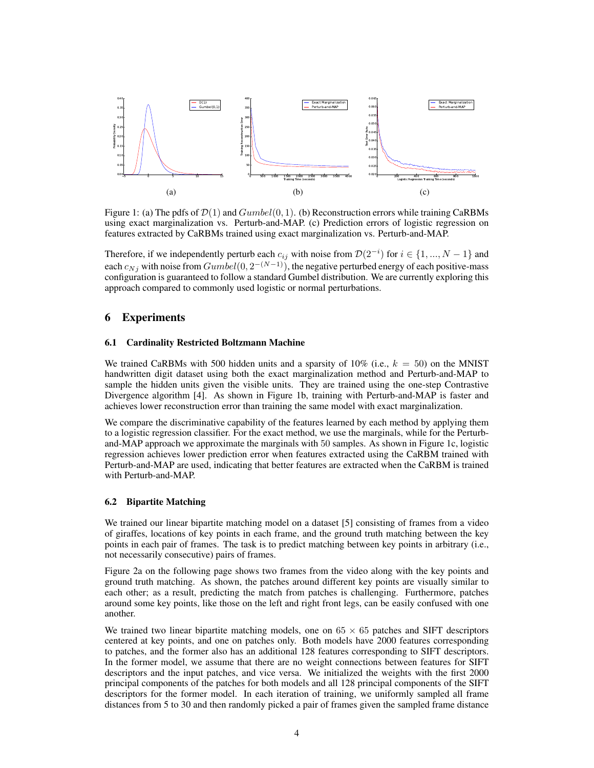

Figure 1: (a) The pdfs of  $\mathcal{D}(1)$  and  $Gumbel(0, 1)$ . (b) Reconstruction errors while training CaRBMs using exact marginalization vs. Perturb-and-MAP. (c) Prediction errors of logistic regression on features extracted by CaRBMs trained using exact marginalization vs. Perturb-and-MAP.

Therefore, if we independently perturb each  $c_{ij}$  with noise from  $\mathcal{D}(2^{-i})$  for  $i \in \{1, ..., N-1\}$  and each  $c_{Nj}$  with noise from  $Gumbel(0, 2^{-(N-1)})$ , the negative perturbed energy of each positive-mass configuration is guaranteed to follow a standard Gumbel distribution. We are currently exploring this approach compared to commonly used logistic or normal perturbations.

# 6 Experiments

#### 6.1 Cardinality Restricted Boltzmann Machine

We trained CaRBMs with 500 hidden units and a sparsity of 10% (i.e.,  $k = 50$ ) on the MNIST handwritten digit dataset using both the exact marginalization method and Perturb-and-MAP to sample the hidden units given the visible units. They are trained using the one-step Contrastive Divergence algorithm [4]. As shown in Figure 1b, training with Perturb-and-MAP is faster and achieves lower reconstruction error than training the same model with exact marginalization.

We compare the discriminative capability of the features learned by each method by applying them to a logistic regression classifier. For the exact method, we use the marginals, while for the Perturband-MAP approach we approximate the marginals with 50 samples. As shown in Figure 1c, logistic regression achieves lower prediction error when features extracted using the CaRBM trained with Perturb-and-MAP are used, indicating that better features are extracted when the CaRBM is trained with Perturb-and-MAP.

#### 6.2 Bipartite Matching

We trained our linear bipartite matching model on a dataset [5] consisting of frames from a video of giraffes, locations of key points in each frame, and the ground truth matching between the key points in each pair of frames. The task is to predict matching between key points in arbitrary (i.e., not necessarily consecutive) pairs of frames.

Figure 2a on the following page shows two frames from the video along with the key points and ground truth matching. As shown, the patches around different key points are visually similar to each other; as a result, predicting the match from patches is challenging. Furthermore, patches around some key points, like those on the left and right front legs, can be easily confused with one another.

We trained two linear bipartite matching models, one on  $65 \times 65$  patches and SIFT descriptors centered at key points, and one on patches only. Both models have 2000 features corresponding to patches, and the former also has an additional 128 features corresponding to SIFT descriptors. In the former model, we assume that there are no weight connections between features for SIFT descriptors and the input patches, and vice versa. We initialized the weights with the first 2000 principal components of the patches for both models and all 128 principal components of the SIFT descriptors for the former model. In each iteration of training, we uniformly sampled all frame distances from 5 to 30 and then randomly picked a pair of frames given the sampled frame distance